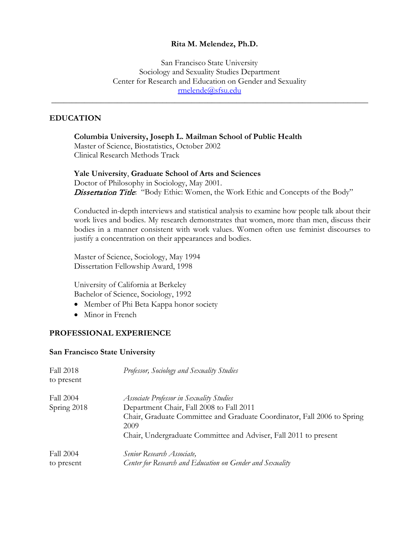#### **Rita M. Melendez, Ph.D.**

San Francisco State University Sociology and Sexuality Studies Department Center for Research and Education on Gender and Sexuality [rmelende@sfsu.edu](mailto:rmelende@sfsu.edu)

\_\_\_\_\_\_\_\_\_\_\_\_\_\_\_\_\_\_\_\_\_\_\_\_\_\_\_\_\_\_\_\_\_\_\_\_\_\_\_\_\_\_\_\_\_\_\_\_\_\_\_\_\_\_\_\_\_\_\_\_\_\_\_\_\_\_\_\_\_\_\_\_\_\_\_\_\_

#### **EDUCATION**

**Columbia University, Joseph L. Mailman School of Public Health** Master of Science, Biostatistics, October 2002 Clinical Research Methods Track

**Yale University**, **Graduate School of Arts and Sciences** Doctor of Philosophy in Sociology, May 2001. Dissertation Title: "Body Ethic: Women, the Work Ethic and Concepts of the Body"

Conducted in-depth interviews and statistical analysis to examine how people talk about their work lives and bodies. My research demonstrates that women, more than men, discuss their bodies in a manner consistent with work values. Women often use feminist discourses to justify a concentration on their appearances and bodies.

Master of Science, Sociology, May 1994 Dissertation Fellowship Award, 1998

University of California at Berkeley Bachelor of Science, Sociology, 1992

- Member of Phi Beta Kappa honor society
- Minor in French

#### **PROFESSIONAL EXPERIENCE**

#### **San Francisco State University**

| <b>Fall 2018</b><br>to present | Professor, Sociology and Sexuality Studies                                      |
|--------------------------------|---------------------------------------------------------------------------------|
| <b>Fall 2004</b>               | Associate Professor in Sexuality Studies                                        |
| Spring 2018                    | Department Chair, Fall 2008 to Fall 2011                                        |
|                                | Chair, Graduate Committee and Graduate Coordinator, Fall 2006 to Spring<br>2009 |
|                                | Chair, Undergraduate Committee and Adviser, Fall 2011 to present                |
| Fall 2004                      | Senior Research Associate,                                                      |
| to present                     | Center for Research and Education on Gender and Sexuality                       |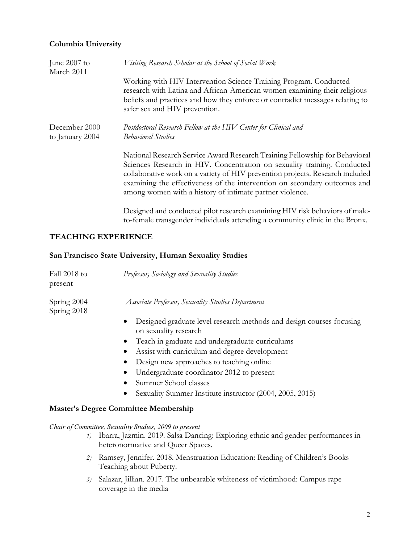# **Columbia University**

| June 2007 to<br>March 2011       | Visiting Research Scholar at the School of Social Work                                                                                                                                                                                                                                                                                                                            |  |
|----------------------------------|-----------------------------------------------------------------------------------------------------------------------------------------------------------------------------------------------------------------------------------------------------------------------------------------------------------------------------------------------------------------------------------|--|
|                                  | Working with HIV Intervention Science Training Program. Conducted<br>research with Latina and African-American women examining their religious<br>beliefs and practices and how they enforce or contradict messages relating to<br>safer sex and HIV prevention.                                                                                                                  |  |
| December 2000<br>to January 2004 | Postdoctoral Research Fellow at the HIV Center for Clinical and<br><b>Behavioral Studies</b>                                                                                                                                                                                                                                                                                      |  |
|                                  | National Research Service Award Research Training Fellowship for Behavioral<br>Sciences Research in HIV. Concentration on sexuality training. Conducted<br>collaborative work on a variety of HIV prevention projects. Research included<br>examining the effectiveness of the intervention on secondary outcomes and<br>among women with a history of intimate partner violence. |  |
|                                  | Designed and conducted pilot research examining HIV risk behaviors of male-<br>to-female transgender individuals attending a community clinic in the Bronx.                                                                                                                                                                                                                       |  |

# **TEACHING EXPERIENCE**

#### **San Francisco State University, Human Sexuality Studies**

| Fall 2018 to<br>present    | Professor, Sociology and Sexuality Studies                                                                 |
|----------------------------|------------------------------------------------------------------------------------------------------------|
| Spring 2004<br>Spring 2018 | Associate Professor, Sexuality Studies Department                                                          |
|                            | Designed graduate level research methods and design courses focusing<br>$\bullet$<br>on sexuality research |
|                            | Teach in graduate and undergraduate curriculums<br>$\bullet$                                               |
|                            | Assist with curriculum and degree development                                                              |
|                            | Design new approaches to teaching online                                                                   |
|                            | Undergraduate coordinator 2012 to present                                                                  |
|                            | Summer School classes                                                                                      |
|                            | Sexuality Summer Institute instructor (2004, 2005, 2015)                                                   |
|                            | <b>Master's Degree Committee Membership</b>                                                                |

*Chair of Committee, Sexuality Studies, 2009 to present*

- *1)* Ibarra, Jazmin. 2019. Salsa Dancing: Exploring ethnic and gender performances in heteronormative and Queer Spaces.
- *2)* Ramsey, Jennifer. 2018. Menstruation Education: Reading of Children's Books Teaching about Puberty.
- *3)* Salazar, Jillian. 2017. The unbearable whiteness of victimhood: Campus rape coverage in the media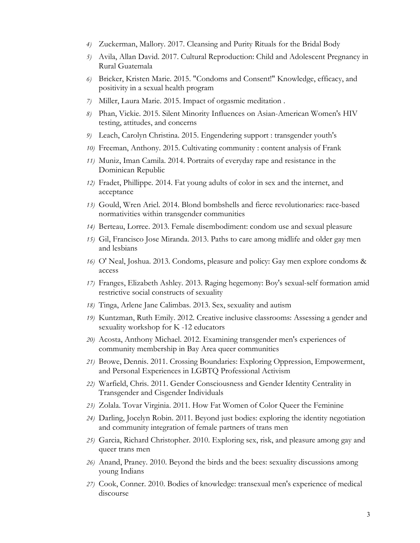- *4)* Zuckerman, Mallory. 2017. Cleansing and Purity Rituals for the Bridal Body
- *5)* Avila, Allan David. 2017. Cultural Reproduction: Child and Adolescent Pregnancy in Rural Guatemala
- *6)* Bricker, Kristen Marie. 2015. "Condoms and Consent!" Knowledge, efficacy, and positivity in a sexual health program
- *7)* Miller, Laura Marie. 2015. Impact of orgasmic meditation .
- *8)* Phan, Vickie. 2015. Silent Minority Influences on Asian-American Women's HIV testing, attitudes, and concerns
- *9)* Leach, Carolyn Christina. 2015. Engendering support : transgender youth's
- *10)* Freeman, Anthony. 2015. Cultivating community : content analysis of Frank
- *11)* Muniz, Iman Camila. 2014. Portraits of everyday rape and resistance in the Dominican Republic
- *12)* Fradet, Phillippe. 2014. Fat young adults of color in sex and the internet, and acceptance
- *13)* Gould, Wren Ariel. 2014. Blond bombshells and fierce revolutionaries: race-based normativities within transgender communities
- *14)* Berteau, Lorree. 2013. Female disembodiment: condom use and sexual pleasure
- *15)* Gil, Francisco Jose Miranda. 2013. Paths to care among midlife and older gay men and lesbians
- *16)* O' Neal, Joshua. 2013. Condoms, pleasure and policy: Gay men explore condoms & access
- *17)* Franges, Elizabeth Ashley. 2013. Raging hegemony: Boy's sexual-self formation amid restrictive social constructs of sexuality
- *18)* Tinga, Arlene Jane Calimbas. 2013. Sex, sexuality and autism
- *19)* Kuntzman, Ruth Emily. 2012. Creative inclusive classrooms: Assessing a gender and sexuality workshop for K -12 educators
- *20)* Acosta, Anthony Michael. 2012. Examining transgender men's experiences of community membership in Bay Area queer communities
- *21)* Browe, Dennis. 2011. Crossing Boundaries: Exploring Oppression, Empowerment, and Personal Experiences in LGBTQ Professional Activism
- *22)* Warfield, Chris. 2011. Gender Consciousness and Gender Identity Centrality in Transgender and Cisgender Individuals
- *23)* Zolala. Tovar Virginia. 2011. How Fat Women of Color Queer the Feminine
- *24)* Darling, Jocelyn Robin. 2011. Beyond just bodies: exploring the identity negotiation and community integration of female partners of trans men
- *25)* Garcia, Richard Christopher. 2010. Exploring sex, risk, and pleasure among gay and queer trans men
- *26)* Anand, Praney. 2010. Beyond the birds and the bees: sexuality discussions among young Indians
- *27)* Cook, Conner. 2010. Bodies of knowledge: transexual men's experience of medical discourse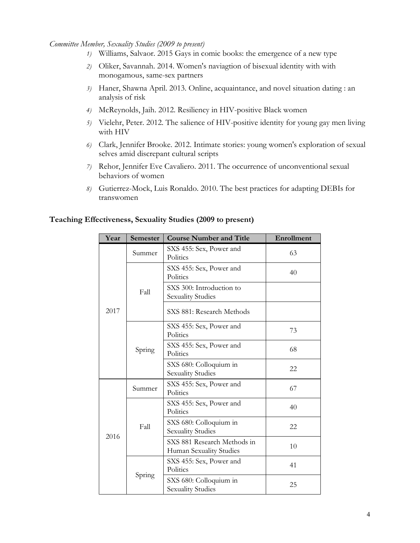#### *Committee Member, Sexuality Studies (2009 to present)*

- *1)* Williams, Salvaor. 2015 Gays in comic books: the emergence of a new type
- *2)* Oliker, Savannah. 2014. Women's naviagtion of bisexual identity with with monogamous, same-sex partners
- *3)* Haner, Shawna April. 2013. Online, acquaintance, and novel situation dating : an analysis of risk
- *4)* McReynolds, Jaih. 2012. Resiliency in HIV-positive Black women
- *5)* Vielehr, Peter. 2012. The salience of HIV-positive identity for young gay men living with HIV
- *6)* Clark, Jennifer Brooke. 2012. Intimate stories: young women's exploration of sexual selves amid discrepant cultural scripts
- *7)* Rehor, Jennifer Eve Cavaliero. 2011. The occurrence of unconventional sexual behaviors of women
- *8)* Gutierrez-Mock, Luis Ronaldo. 2010. The best practices for adapting DEBIs for transwomen

#### **Teaching Effectiveness, Sexuality Studies (2009 to present)**

| Year | Semester | <b>Course Number and Title</b>                         | <b>Enrollment</b> |
|------|----------|--------------------------------------------------------|-------------------|
| 2017 | Summer   | SXS 455: Sex, Power and<br>Politics                    | 63                |
|      | Fall     | SXS 455: Sex, Power and<br>Politics                    | 40                |
|      |          | SXS 300: Introduction to<br><b>Sexuality Studies</b>   |                   |
|      |          | SXS 881: Research Methods                              |                   |
|      | Spring   | SXS 455: Sex, Power and<br>Politics                    | 73                |
|      |          | SXS 455: Sex, Power and<br>Politics                    | 68                |
|      |          | SXS 680: Colloquium in<br><b>Sexuality Studies</b>     | 22                |
|      | Summer   | SXS 455: Sex, Power and<br>Politics                    | 67                |
| 2016 | Fall     | SXS 455: Sex, Power and<br>Politics                    | 40                |
|      |          | SXS 680: Colloquium in<br><b>Sexuality Studies</b>     | 22.               |
|      |          | SXS 881 Research Methods in<br>Human Sexuality Studies | 10                |
|      | Spring   | SXS 455: Sex, Power and<br>Politics                    | 41                |
|      |          | SXS 680: Colloquium in<br><b>Sexuality Studies</b>     | 25                |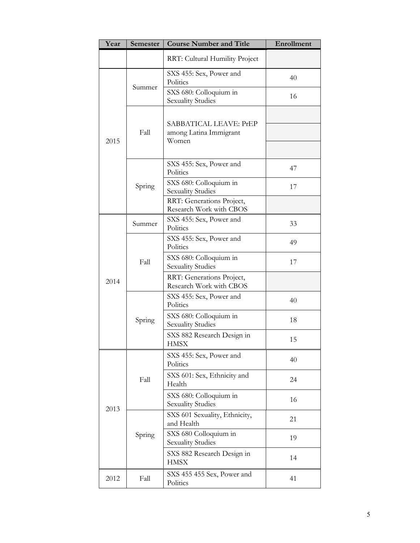| Year | Semester | <b>Course Number and Title</b>                       | Enrollment |
|------|----------|------------------------------------------------------|------------|
|      |          | RRT: Cultural Humility Project                       |            |
| 2015 |          | SXS 455: Sex, Power and<br>Politics                  | 40         |
|      | Summer   | SXS 680: Colloquium in<br><b>Sexuality Studies</b>   | 16         |
|      |          | SABBATICAL LEAVE: PrEP                               |            |
|      | Fall     | among Latina Immigrant<br>Women                      |            |
|      |          |                                                      |            |
|      |          | SXS 455: Sex, Power and<br>Politics                  | 47         |
|      | Spring   | SXS 680: Colloquium in<br><b>Sexuality Studies</b>   | 17         |
|      |          | RRT: Generations Project,<br>Research Work with CBOS |            |
|      | Summer   | SXS 455: Sex, Power and<br>Politics                  | 33         |
|      |          | SXS 455: Sex, Power and<br>Politics                  | 49         |
|      | Fall     | SXS 680: Colloquium in<br><b>Sexuality Studies</b>   | 17         |
| 2014 |          | RRT: Generations Project,<br>Research Work with CBOS |            |
|      |          | SXS 455: Sex, Power and<br>Politics                  | 40         |
|      | Spring   | SXS 680: Colloquium in<br><b>Sexuality Studies</b>   | 18         |
|      |          | SXS 882 Research Design in<br><b>HMSX</b>            | 15         |
|      |          | SXS 455: Sex, Power and<br>Politics                  | 40         |
| 2013 | Fall     | SXS 601: Sex, Ethnicity and<br>Health                | 24         |
|      |          | SXS 680: Colloquium in<br><b>Sexuality Studies</b>   | 16         |
|      |          | SXS 601 Sexuality, Ethnicity,<br>and Health          | 21         |
|      | Spring   | SXS 680 Colloquium in<br><b>Sexuality Studies</b>    | 19         |
|      |          | SXS 882 Research Design in<br><b>HMSX</b>            | 14         |
| 2012 | Fall     | SXS 455 455 Sex, Power and<br>Politics               | 41         |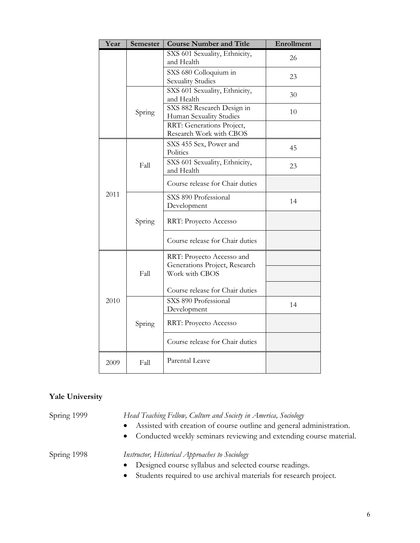| Year | Semester | <b>Course Number and Title</b>                        | Enrollment |
|------|----------|-------------------------------------------------------|------------|
|      |          | SXS 601 Sexuality, Ethnicity,<br>and Health           | 26         |
|      |          | SXS 680 Colloquium in<br><b>Sexuality Studies</b>     | 23         |
|      |          | SXS 601 Sexuality, Ethnicity,<br>and Health           | 30         |
|      | Spring   | SXS 882 Research Design in<br>Human Sexuality Studies | 10         |
|      |          | RRT: Generations Project,<br>Research Work with CBOS  |            |
|      |          | SXS 455 Sex, Power and<br>Politics                    | 45         |
|      | Fall     | SXS 601 Sexuality, Ethnicity,<br>and Health           | 23         |
|      |          | Course release for Chair duties                       |            |
| 2011 | Spring   | SXS 890 Professional<br>Development                   | 14         |
|      |          | RRT: Proyecto Accesso                                 |            |
|      |          | Course release for Chair duties                       |            |
|      | Fall     | RRT: Proyecto Accesso and                             |            |
| 2010 |          | Generations Project, Research<br>Work with CBOS       |            |
|      |          | Course release for Chair duties                       |            |
|      | Spring   | SXS 890 Professional<br>Development                   | 14         |
|      |          | RRT: Proyecto Accesso                                 |            |
|      |          | Course release for Chair duties                       |            |
| 2009 | Fall     | Parental Leave                                        |            |

# **Yale University**

Spring 1999 *Head Teaching Fellow, Culture and Society in America, Sociology*

- Assisted with creation of course outline and general administration.
- Conducted weekly seminars reviewing and extending course material.

Spring 1998 *Instructor, Historical Approaches to Sociology*

- Designed course syllabus and selected course readings.
- Students required to use archival materials for research project.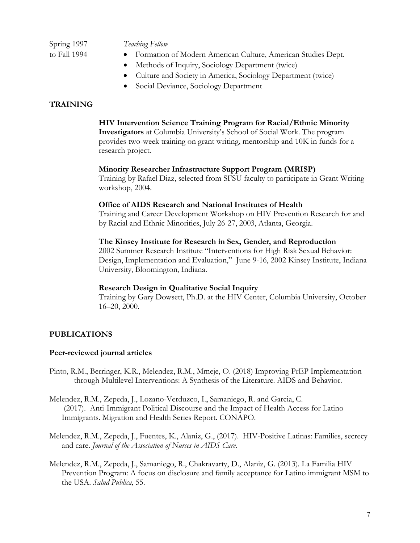Spring 1997 *Teaching Fellow*  to Fall 1994 • Formation of Modern American Culture, American Studies Dept.

- Methods of Inquiry, Sociology Department (twice)
- Culture and Society in America, Sociology Department (twice)
- Social Deviance, Sociology Department

#### **TRAINING**

#### **HIV Intervention Science Training Program for Racial/Ethnic Minority**

**Investigators** at Columbia University's School of Social Work. The program provides two-week training on grant writing, mentorship and 10K in funds for a research project.

#### **Minority Researcher Infrastructure Support Program (MRISP)**

Training by Rafael Diaz, selected from SFSU faculty to participate in Grant Writing workshop, 2004.

#### **Office of AIDS Research and National Institutes of Health**

Training and Career Development Workshop on HIV Prevention Research for and by Racial and Ethnic Minorities, July 26-27, 2003, Atlanta, Georgia.

#### **The Kinsey Institute for Research in Sex, Gender, and Reproduction**

2002 Summer Research Institute "Interventions for High Risk Sexual Behavior: Design, Implementation and Evaluation," June 9-16, 2002 Kinsey Institute, Indiana University, Bloomington, Indiana.

#### **Research Design in Qualitative Social Inquiry**

Training by Gary Dowsett, Ph.D. at the HIV Center, Columbia University, October 16–20, 2000.

#### **PUBLICATIONS**

#### **Peer-reviewed journal articles**

- Pinto, R.M., Berringer, K.R., Melendez, R.M., Mmeje, O. (2018) Improving PrEP Implementation through Multilevel Interventions: A Synthesis of the Literature. AIDS and Behavior.
- Melendez, R.M., Zepeda, J., Lozano-Verduzco, I., Samaniego, R. and Garcia, C. (2017). Anti-Immigrant Political Discourse and the Impact of Health Access for Latino Immigrants. Migration and Health Series Report. CONAPO.
- Melendez, R.M., Zepeda, J., Fuentes, K., Alaniz, G., (2017). HIV-Positive Latinas: Families, secrecy and care. *Journal of the Association of Nurses in AIDS Care*.
- Melendez, R.M., Zepeda, J., Samaniego, R., Chakravarty, D., Alaniz, G. (2013). La Familia HIV Prevention Program: A focus on disclosure and family acceptance for Latino immigrant MSM to the USA. *Salud Publica*, 55.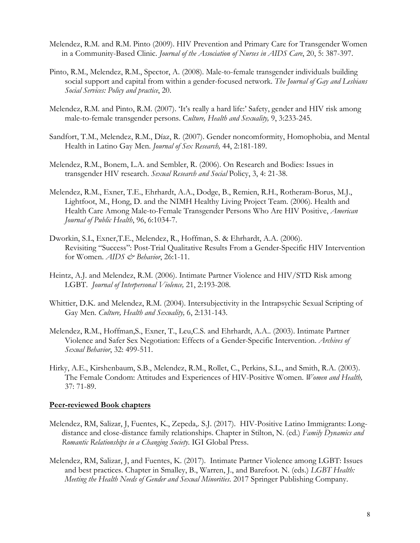- Melendez, R.M. and R.M. Pinto (2009). HIV Prevention and Primary Care for Transgender Women in a Community-Based Clinic. *Journal of the Association of Nurses in AIDS Care*, 20, 5: 387-397.
- Pinto, R.M., Melendez, R.M., Spector, A. (2008). Male-to-female transgender individuals building social support and capital from within a gender-focused network. *The Journal of Gay and Lesbians Social Services: Policy and practice*, 20.
- Melendez, R.M. and Pinto, R.M. (2007). 'It's really a hard life:' Safety, gender and HIV risk among male-to-female transgender persons. C*ulture, Health and Sexuality,* 9, 3:233-245.
- Sandfort, T.M., Melendez, R.M., Díaz, R. (2007). Gender noncomformity, Homophobia, and Mental Health in Latino Gay Men. *Journal of Sex Research,* 44, 2:181-189.
- Melendez, R.M., Bonem, L.A. and Sembler, R. (2006). On Research and Bodies: Issues in transgender HIV research. *Sexual Research and Social* Policy, 3, 4: 21-38.
- Melendez, R.M., Exner, T.E., Ehrhardt, A.A., Dodge, B., Remien, R.H., Rotheram-Borus, M.J., Lightfoot, M., Hong, D. and the NIMH Healthy Living Project Team. (2006). Health and Health Care Among Male-to-Female Transgender Persons Who Are HIV Positive, *American Journal of Public Health*, 96, 6:1034-7.
- Dworkin, S.L, Exner,T.E., Melendez, R., Hoffman, S. & Ehrhardt, A.A. (2006). Revisiting "Success": Post-Trial Qualitative Results From a Gender-Specific HIV Intervention for Women. *AIDS & Behavior*, 26:1-11.
- Heintz, A.J. and Melendez, R.M. (2006). Intimate Partner Violence and HIV/STD Risk among LGBT. *Journal of Interpersonal Violence,* 21, 2:193-208.
- Whittier, D.K. and Melendez, R.M. (2004). Intersubjectivity in the Intrapsychic Sexual Scripting of Gay Men. *Culture, Health and Sexuality,* 6, 2:131-143.
- Melendez, R.M., Hoffman,S., Exner, T., Leu,C.S. and Ehrhardt, A.A.. (2003). Intimate Partner Violence and Safer Sex Negotiation: Effects of a Gender-Specific Intervention. *Archives of Sexual Behavior*, 32: 499-511.
- Hirky, A.E., Kirshenbaum, S.B., Melendez, R.M., Rollet, C., Perkins, S.L., and Smith, R.A. (2003). The Female Condom: Attitudes and Experiences of HIV-Positive Women. *Women and Health,*  37: 71-89.

#### **Peer-reviewed Book chapters**

- Melendez, RM, Salizar, J, Fuentes, K., Zepeda,. S.J. (2017). HIV-Positive Latino Immigrants: Longdistance and close-distance family relationships. Chapter in Stilton, N. (ed.) *Family Dynamics and Romantic Relationships in a Changing Society*. IGI Global Press.
- Melendez, RM, Salizar, J, and Fuentes, K. (2017). Intimate Partner Violence among LGBT: Issues and best practices. Chapter in Smalley, B., Warren, J., and Barefoot. N. (eds.) *LGBT Health: Meeting the Health Needs of Gender and Sexual Minorities*. 2017 Springer Publishing Company.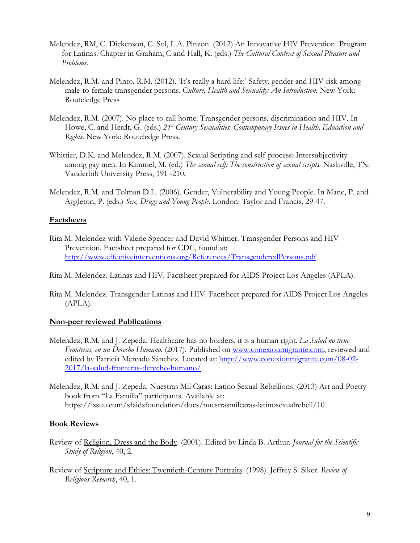- Melendez, RM, C. Dickenson, C. Sol, L.A. Pinzon. (2012) An Innovative HIV Prevention Program for Latinas. Chapter in Graham, C and Hall, K. (eds.) *The Cultural Context of Sexual Pleasure and Problems.*
- Melendez, R.M. and Pinto, R.M. (2012). 'It's really a hard life:' Safety, gender and HIV risk among male-to-female transgender persons. C*ulture, Health and Sexuality: An Introduction.* New York: Routeledge Press
- Melendez, R.M. (2007). No place to call home: Transgender persons, discrimination and HIV. In Howe, C. and Herdt, G. (eds.) 21<sup>st</sup> Century Sexualities: Contemporary Issues in Health, Education and *Rights.* New York: Routeledge Press.
- Whittier, D.K. and Melendez, R.M. (2007). Sexual Scripting and self-process: Intersubjectivity among gay men. In Kimmel, M. (ed.) *The sexual self: The construction of sexual scripts.* Nashville, TN: Vanderbilt University Press, 191 -210.
- Melendez, R.M. and Tolman D.L. (2006). Gender, Vulnerability and Young People. In Mane, P. and Aggleton, P. (eds.) *Sex, Drugs and Young People*. London: Taylor and Francis, 29-47.

#### **Factsheets**

Rita M. Melendez with Valerie Spencer and David Whittier. Transgender Persons and HIV Prevention. Factsheet prepared for CDC, found at: <http://www.effectiveinterventions.org/References/TransgenderedPersons.pdf>

Rita M. Melendez. Latinas and HIV. Factsheet prepared for AIDS Project Los Angeles (APLA).

Rita M. Melendez. Transgender Latinas and HIV. Factsheet prepared for AIDS Project Los Angeles (APLA).

#### **Non-peer reviewed Publications**

- Melendez, R.M. and J. Zepeda. Healthcare has no borders, it is a human right. *La Salud no tiene Fronteras, en un Derecho Humano*. (2017). Published on [www.conexionmigrante.com,](http://www.conexionmigrante.com/) reviewed and edited by Patricia Mercado Sánchez. Located at: [http://www.conexionmigrante.com/08-02-](http://www.conexionmigrante.com/08-02-2017/la-salud-fronteras-derecho-humano/) [2017/la-salud-fronteras-derecho-humano/](http://www.conexionmigrante.com/08-02-2017/la-salud-fronteras-derecho-humano/)
- Melendez, R.M. and J. Zepeda. Nuestras Mil Caras: Latino Sexual Rebellions. (2013) Art and Poetry book from "La Familia" participants. Available at: https://issuu.com/sfaidsfoundation/docs/nuestrasmilcaras-latinosexualrebell/10

# **Book Reviews**

- Review of Religion, Dress and the Body. (2001). Edited by Linda B. Arthur. *Journal for the Scientific Study of Religion*, 40, 2.
- Review of Scripture and Ethics: Twentieth-Century Portraits. (1998). Jeffrey S. Siker. *Review of Religious Research*, 40, 1.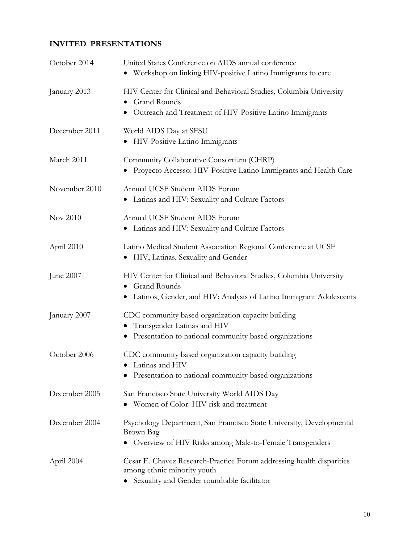# **INVITED PRESENTATIONS**

| October 2014  | United States Conference on AIDS annual conference                                                              |  |
|---------------|-----------------------------------------------------------------------------------------------------------------|--|
|               | Workshop on linking HIV-positive Latino Immigrants to care                                                      |  |
| January 2013  | HIV Center for Clinical and Behavioral Studies, Columbia University<br><b>Grand Rounds</b>                      |  |
|               | Outreach and Treatment of HIV-Positive Latino Immigrants                                                        |  |
| December 2011 | World AIDS Day at SFSU<br>HIV-Positive Latino Immigrants<br>$\bullet$                                           |  |
| March 2011    | Community Collaborative Consortium (CHRP)<br>• Proyecto Accesso: HIV-Positive Latino Immigrants and Health Care |  |
| November 2010 | Annual UCSF Student AIDS Forum<br>• Latinas and HIV: Sexuality and Culture Factors                              |  |
| Nov 2010      | Annual UCSF Student AIDS Forum<br>• Latinas and HIV: Sexuality and Culture Factors                              |  |
| April 2010    | Latino Medical Student Association Regional Conference at UCSF<br>• HIV, Latinas, Sexuality and Gender          |  |
| June 2007     | HIV Center for Clinical and Behavioral Studies, Columbia University<br><b>Grand Rounds</b>                      |  |
|               | Latinos, Gender, and HIV: Analysis of Latino Immigrant Adolescents                                              |  |
| January 2007  | CDC community based organization capacity building<br>Transgender Latinas and HIV                               |  |
|               | • Presentation to national community based organizations                                                        |  |
| October 2006  | CDC community based organization capacity building<br>Latinas and HIV                                           |  |
|               | Presentation to national community based organizations                                                          |  |
| December 2005 | San Francisco State University World AIDS Day                                                                   |  |
|               | • Women of Color: HIV risk and treatment                                                                        |  |
| December 2004 | Psychology Department, San Francisco State University, Developmental<br>Brown Bag                               |  |
|               | Overview of HIV Risks among Male-to-Female Transgenders<br>$\bullet$                                            |  |
| April 2004    | Cesar E. Chavez Research-Practice Forum addressing health disparities<br>among ethnic minority youth            |  |
|               | • Sexuality and Gender roundtable facilitator                                                                   |  |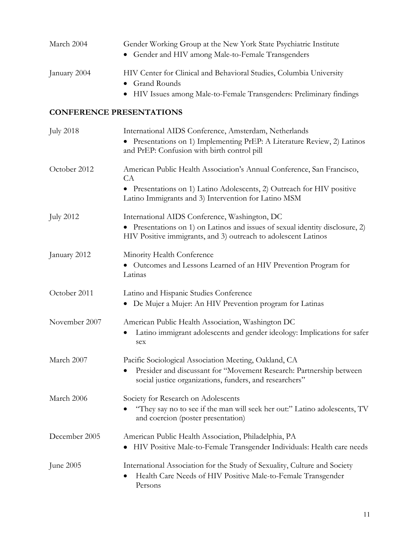| March 2004       | Gender Working Group at the New York State Psychiatric Institute<br>Gender and HIV among Male-to-Female Transgenders                                                                                         |
|------------------|--------------------------------------------------------------------------------------------------------------------------------------------------------------------------------------------------------------|
| January 2004     | HIV Center for Clinical and Behavioral Studies, Columbia University<br><b>Grand Rounds</b><br>HIV Issues among Male-to-Female Transgenders: Preliminary findings                                             |
|                  | <b>CONFERENCE PRESENTATIONS</b>                                                                                                                                                                              |
| <b>July 2018</b> | International AIDS Conference, Amsterdam, Netherlands<br>Presentations on 1) Implementing PrEP: A Literature Review, 2) Latinos<br>and PrEP: Confusion with birth control pill                               |
| October 2012     | American Public Health Association's Annual Conference, San Francisco,<br>CA<br>Presentations on 1) Latino Adolescents, 2) Outreach for HIV positive<br>Latino Immigrants and 3) Intervention for Latino MSM |
| <b>July 2012</b> | International AIDS Conference, Washington, DC<br>Presentations on 1) on Latinos and issues of sexual identity disclosure, 2)<br>HIV Positive immigrants, and 3) outreach to adolescent Latinos               |
| January 2012     | Minority Health Conference<br>Outcomes and Lessons Learned of an HIV Prevention Program for<br>Latinas                                                                                                       |
| October 2011     | Latino and Hispanic Studies Conference<br>De Mujer a Mujer: An HIV Prevention program for Latinas<br>$\bullet$                                                                                               |
| November 2007    | American Public Health Association, Washington DC<br>Latino immigrant adolescents and gender ideology: Implications for safer<br>sex                                                                         |
| March 2007       | Pacific Sociological Association Meeting, Oakland, CA<br>Presider and discussant for "Movement Research: Partnership between<br>social justice organizations, funders, and researchers"                      |
| March 2006       | Society for Research on Adolescents<br>"They say no to see if the man will seek her out:" Latino adolescents, TV<br>and coercion (poster presentation)                                                       |
| December 2005    | American Public Health Association, Philadelphia, PA<br>HIV Positive Male-to-Female Transgender Individuals: Health care needs                                                                               |
| June 2005        | International Association for the Study of Sexuality, Culture and Society<br>Health Care Needs of HIV Positive Male-to-Female Transgender<br>Persons                                                         |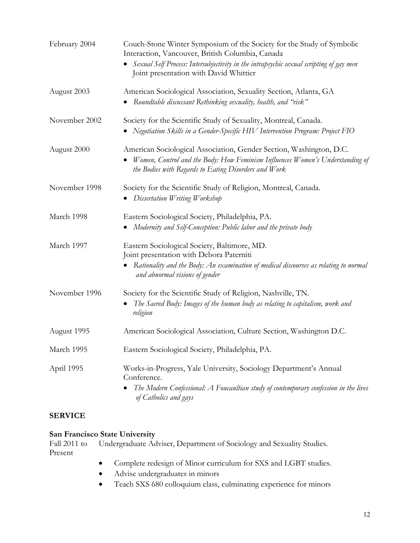| February 2004 | Couch-Stone Winter Symposium of the Society for the Study of Symbolic<br>Interaction, Vancouver, British Columbia, Canada<br>Sexual Self Process: Intersubjectivity in the intrapsychic sexual scripting of gay men<br>Joint presentation with David Whittier |
|---------------|---------------------------------------------------------------------------------------------------------------------------------------------------------------------------------------------------------------------------------------------------------------|
| August 2003   | American Sociological Association, Sexuality Section, Atlanta, GA<br>Roundtable discussant Rethinking sexuality, health, and "risk"                                                                                                                           |
| November 2002 | Society for the Scientific Study of Sexuality, Montreal, Canada.<br>Negotiation Skills in a Gender-Specific HIV Intervention Program: Project FIO                                                                                                             |
| August 2000   | American Sociological Association, Gender Section, Washington, D.C.<br>Women, Control and the Body: How Feminism Influences Women's Understanding of<br>the Bodies with Regards to Eating Disorders and Work                                                  |
| November 1998 | Society for the Scientific Study of Religion, Montreal, Canada.<br>Dissertation Writing Workshop                                                                                                                                                              |
| March 1998    | Eastern Sociological Society, Philadelphia, PA.<br>Modernity and Self-Conception: Public labor and the private body                                                                                                                                           |
| March 1997    | Eastern Sociological Society, Baltimore, MD.<br>Joint presentation with Debora Paterniti<br>Rationality and the Body: An examination of medical discourses as relating to normal<br>and abnormal visions of gender                                            |
| November 1996 | Society for the Scientific Study of Religion, Nashville, TN.<br>The Sacred Body: Images of the human body as relating to capitalism, work and<br>religion                                                                                                     |
| August 1995   | American Sociological Association, Culture Section, Washington D.C.                                                                                                                                                                                           |
| March 1995    | Eastern Sociological Society, Philadelphia, PA.                                                                                                                                                                                                               |
| April 1995    | Works-in-Progress, Yale University, Sociology Department's Annual<br>Conference.<br>The Modern Confessional: A Foucaultian study of contemporary confession in the lives<br>of Catholics and gays                                                             |

# **SERVICE**

# **San Francisco State University**<br>Fall 2011 to Undergraduate Ad

Undergraduate Adviser, Department of Sociology and Sexuality Studies. Present

- Complete redesign of Minor curriculum for SXS and LGBT studies.
- Advise undergraduates in minors
- Teach SXS 680 colloquium class, culminating experience for minors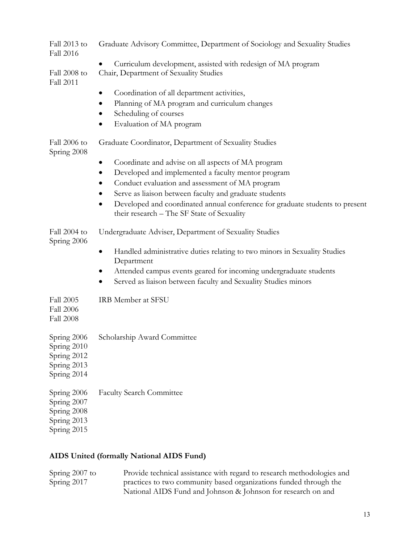| Fall 2013 to<br>Fall 2016                                               | Graduate Advisory Committee, Department of Sociology and Sexuality Studies                                                              |  |  |
|-------------------------------------------------------------------------|-----------------------------------------------------------------------------------------------------------------------------------------|--|--|
| Fall 2008 to<br><b>Fall 2011</b>                                        | Curriculum development, assisted with redesign of MA program<br>Chair, Department of Sexuality Studies                                  |  |  |
|                                                                         | Coordination of all department activities,                                                                                              |  |  |
|                                                                         | Planning of MA program and curriculum changes                                                                                           |  |  |
|                                                                         | Scheduling of courses                                                                                                                   |  |  |
|                                                                         | Evaluation of MA program                                                                                                                |  |  |
| Fall 2006 to<br>Spring 2008                                             | Graduate Coordinator, Department of Sexuality Studies                                                                                   |  |  |
|                                                                         | Coordinate and advise on all aspects of MA program                                                                                      |  |  |
|                                                                         | Developed and implemented a faculty mentor program                                                                                      |  |  |
|                                                                         | Conduct evaluation and assessment of MA program<br>$\bullet$                                                                            |  |  |
|                                                                         | Serve as liaison between faculty and graduate students                                                                                  |  |  |
|                                                                         | Developed and coordinated annual conference for graduate students to present<br>$\bullet$<br>their research - The SF State of Sexuality |  |  |
| Fall 2004 to<br>Spring 2006                                             | Undergraduate Adviser, Department of Sexuality Studies                                                                                  |  |  |
|                                                                         | Handled administrative duties relating to two minors in Sexuality Studies<br>Department                                                 |  |  |
|                                                                         | Attended campus events geared for incoming undergraduate students<br>$\bullet$                                                          |  |  |
|                                                                         | Served as liaison between faculty and Sexuality Studies minors                                                                          |  |  |
| <b>Fall 2005</b><br><b>Fall 2006</b><br><b>Fall 2008</b>                | IRB Member at SFSU                                                                                                                      |  |  |
| Spring 2006<br>Spring 2010<br>Spring 2012<br>Spring 2013<br>Spring 2014 | Scholarship Award Committee                                                                                                             |  |  |
| Spring 2006<br>Spring 2007<br>Spring 2008<br>Spring 2013<br>Spring 2015 | <b>Faculty Search Committee</b>                                                                                                         |  |  |

# **AIDS United (formally National AIDS Fund)**

| Spring 2007 to | Provide technical assistance with regard to research methodologies and |
|----------------|------------------------------------------------------------------------|
| Spring 2017    | practices to two community based organizations funded through the      |
|                | National AIDS Fund and Johnson & Johnson for research on and           |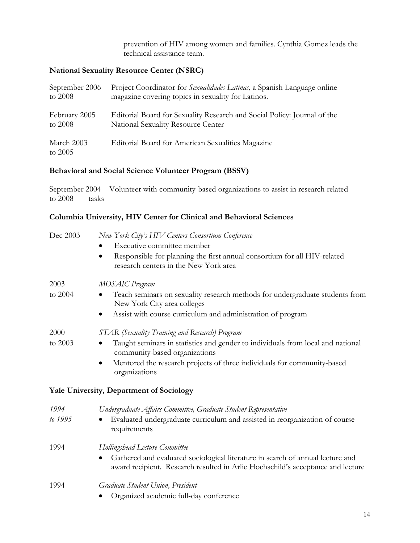prevention of HIV among women and families. Cynthia Gomez leads the technical assistance team.

# **National Sexuality Resource Center (NSRC)**

| September 2006          | Project Coordinator for Sexualidades Latinas, a Spanish Language online  |
|-------------------------|--------------------------------------------------------------------------|
| to $2008$               | magazine covering topics in sexuality for Latinos.                       |
| February 2005           | Editorial Board for Sexuality Research and Social Policy: Journal of the |
| to 2008                 | National Sexuality Resource Center                                       |
| March 2003<br>to $2005$ | Editorial Board for American Sexualities Magazine                        |

# **Behavioral and Social Science Volunteer Program (BSSV)**

September 2004 Volunteer with community-based organizations to assist in research related to 2008 tasks

# **Columbia University, HIV Center for Clinical and Behavioral Sciences**

| Dec 2003 | New York City's HIV Centers Consortium Conference<br>Executive committee member<br>Responsible for planning the first annual consortium for all HIV-related<br>$\bullet$ |
|----------|--------------------------------------------------------------------------------------------------------------------------------------------------------------------------|
|          | research centers in the New York area                                                                                                                                    |
| 2003     | MOSAIC Program                                                                                                                                                           |
| to 2004  | Teach seminars on sexuality research methods for undergraduate students from<br>New York City area colleges                                                              |
|          | Assist with course curriculum and administration of program                                                                                                              |
| 2000     | STAR (Sexuality Training and Research) Program                                                                                                                           |
| to 2003  | Taught seminars in statistics and gender to individuals from local and national<br>community-based organizations                                                         |
|          | Mentored the research projects of three individuals for community-based<br>$\bullet$<br>organizations                                                                    |
|          | Yale University, Department of Sociology                                                                                                                                 |
| 1994     | Undergraduate Affairs Committee, Graduate Student Representative                                                                                                         |
| to 1995  | Evaluated undergraduate curriculum and assisted in reorganization of course<br>requirements                                                                              |
| 1994     | Hollingshead Lecture Committee                                                                                                                                           |
|          | Gathered and evaluated sociological literature in search of annual lecture and<br>award recipient. Research resulted in Arlie Hochschild's acceptance and lecture        |
| 1994     | Graduate Student Union, President                                                                                                                                        |
|          | Organized academic full-day conference                                                                                                                                   |